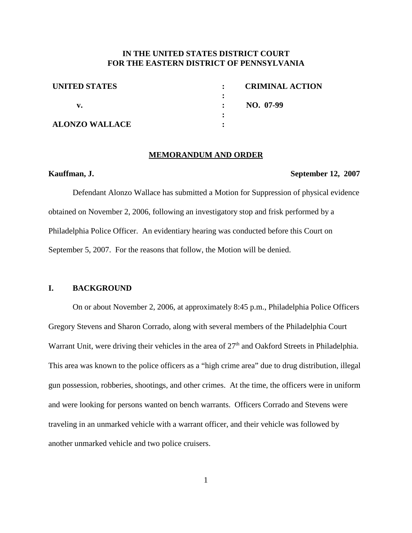## **IN THE UNITED STATES DISTRICT COURT FOR THE EASTERN DISTRICT OF PENNSYLVANIA**

**:**

**: :**

| <b>UNITED STATES</b>  |  |
|-----------------------|--|
| v.                    |  |
| <b>ALONZO WALLACE</b> |  |

**: CRIMINAL ACTION : NO. 07-99**

#### **MEMORANDUM AND ORDER**

#### **Kauffman, J. September 12, 2007**

Defendant Alonzo Wallace has submitted a Motion for Suppression of physical evidence obtained on November 2, 2006, following an investigatory stop and frisk performed by a Philadelphia Police Officer. An evidentiary hearing was conducted before this Court on September 5, 2007. For the reasons that follow, the Motion will be denied.

### **I. BACKGROUND**

On or about November 2, 2006, at approximately 8:45 p.m., Philadelphia Police Officers Gregory Stevens and Sharon Corrado, along with several members of the Philadelphia Court Warrant Unit, were driving their vehicles in the area of 27<sup>th</sup> and Oakford Streets in Philadelphia. This area was known to the police officers as a "high crime area" due to drug distribution, illegal gun possession, robberies, shootings, and other crimes. At the time, the officers were in uniform and were looking for persons wanted on bench warrants. Officers Corrado and Stevens were traveling in an unmarked vehicle with a warrant officer, and their vehicle was followed by another unmarked vehicle and two police cruisers.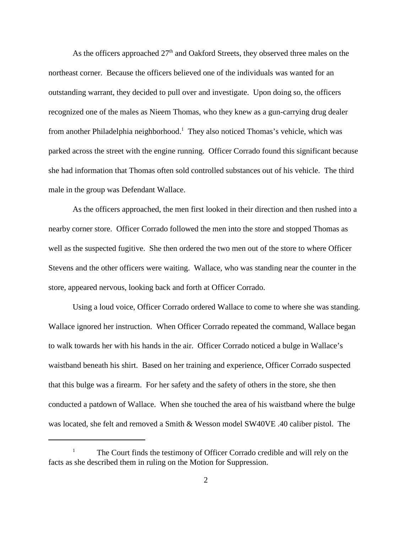As the officers approached  $27<sup>th</sup>$  and Oakford Streets, they observed three males on the northeast corner. Because the officers believed one of the individuals was wanted for an outstanding warrant, they decided to pull over and investigate. Upon doing so, the officers recognized one of the males as Nieem Thomas, who they knew as a gun-carrying drug dealer from another Philadelphia neighborhood.<sup>1</sup> They also noticed Thomas's vehicle, which was parked across the street with the engine running. Officer Corrado found this significant because she had information that Thomas often sold controlled substances out of his vehicle. The third male in the group was Defendant Wallace.

As the officers approached, the men first looked in their direction and then rushed into a nearby corner store. Officer Corrado followed the men into the store and stopped Thomas as well as the suspected fugitive. She then ordered the two men out of the store to where Officer Stevens and the other officers were waiting. Wallace, who was standing near the counter in the store, appeared nervous, looking back and forth at Officer Corrado.

Using a loud voice, Officer Corrado ordered Wallace to come to where she was standing. Wallace ignored her instruction. When Officer Corrado repeated the command, Wallace began to walk towards her with his hands in the air. Officer Corrado noticed a bulge in Wallace's waistband beneath his shirt. Based on her training and experience, Officer Corrado suspected that this bulge was a firearm. For her safety and the safety of others in the store, she then conducted a patdown of Wallace. When she touched the area of his waistband where the bulge was located, she felt and removed a Smith & Wesson model SW40VE .40 caliber pistol. The

The Court finds the testimony of Officer Corrado credible and will rely on the facts as she described them in ruling on the Motion for Suppression.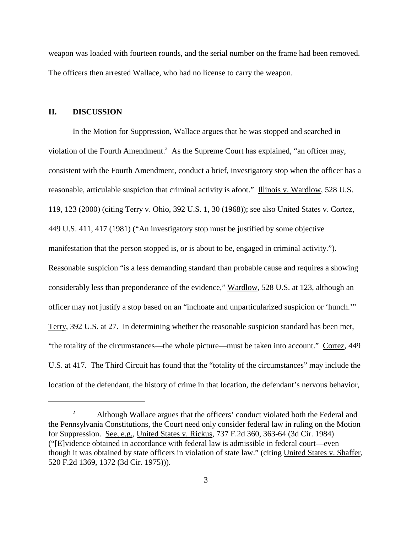weapon was loaded with fourteen rounds, and the serial number on the frame had been removed. The officers then arrested Wallace, who had no license to carry the weapon.

### **II. DISCUSSION**

In the Motion for Suppression, Wallace argues that he was stopped and searched in violation of the Fourth Amendment.<sup>2</sup> As the Supreme Court has explained, "an officer may, consistent with the Fourth Amendment, conduct a brief, investigatory stop when the officer has a reasonable, articulable suspicion that criminal activity is afoot." Illinois v. Wardlow, 528 U.S. 119, 123 (2000) (citing Terry v. Ohio, 392 U.S. 1, 30 (1968)); see also United States v. Cortez, 449 U.S. 411, 417 (1981) ("An investigatory stop must be justified by some objective manifestation that the person stopped is, or is about to be, engaged in criminal activity."). Reasonable suspicion "is a less demanding standard than probable cause and requires a showing considerably less than preponderance of the evidence," Wardlow, 528 U.S. at 123, although an officer may not justify a stop based on an "inchoate and unparticularized suspicion or 'hunch.'" Terry, 392 U.S. at 27. In determining whether the reasonable suspicion standard has been met, "the totality of the circumstances—the whole picture—must be taken into account." Cortez, 449 U.S. at 417. The Third Circuit has found that the "totality of the circumstances" may include the location of the defendant, the history of crime in that location, the defendant's nervous behavior,

<sup>&</sup>lt;sup>2</sup> Although Wallace argues that the officers' conduct violated both the Federal and the Pennsylvania Constitutions, the Court need only consider federal law in ruling on the Motion for Suppression. See, e.g., United States v. Rickus, 737 F.2d 360, 363-64 (3d Cir. 1984) ("[E]vidence obtained in accordance with federal law is admissible in federal court—even though it was obtained by state officers in violation of state law." (citing United States v. Shaffer, 520 F.2d 1369, 1372 (3d Cir. 1975))).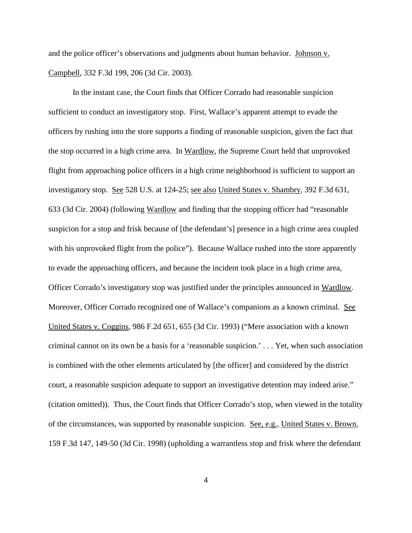and the police officer's observations and judgments about human behavior. Johnson v. Campbell, 332 F.3d 199, 206 (3d Cir. 2003).

In the instant case, the Court finds that Officer Corrado had reasonable suspicion sufficient to conduct an investigatory stop. First, Wallace's apparent attempt to evade the officers by rushing into the store supports a finding of reasonable suspicion, given the fact that the stop occurred in a high crime area. In Wardlow, the Supreme Court held that unprovoked flight from approaching police officers in a high crime neighborhood is sufficient to support an investigatory stop. See 528 U.S. at 124-25; see also United States v. Shambry, 392 F.3d 631, 633 (3d Cir. 2004) (following Wardlow and finding that the stopping officer had "reasonable suspicion for a stop and frisk because of [the defendant's] presence in a high crime area coupled with his unprovoked flight from the police"). Because Wallace rushed into the store apparently to evade the approaching officers, and because the incident took place in a high crime area, Officer Corrado's investigatory stop was justified under the principles announced in Wardlow. Moreover, Officer Corrado recognized one of Wallace's companions as a known criminal. See United States v. Coggins, 986 F.2d 651, 655 (3d Cir. 1993) ("Mere association with a known criminal cannot on its own be a basis for a 'reasonable suspicion.' . . . Yet, when such association is combined with the other elements articulated by [the officer] and considered by the district court, a reasonable suspicion adequate to support an investigative detention may indeed arise." (citation omitted)). Thus, the Court finds that Officer Corrado's stop, when viewed in the totality of the circumstances, was supported by reasonable suspicion. See, e.g., United States v. Brown, 159 F.3d 147, 149-50 (3d Cir. 1998) (upholding a warrantless stop and frisk where the defendant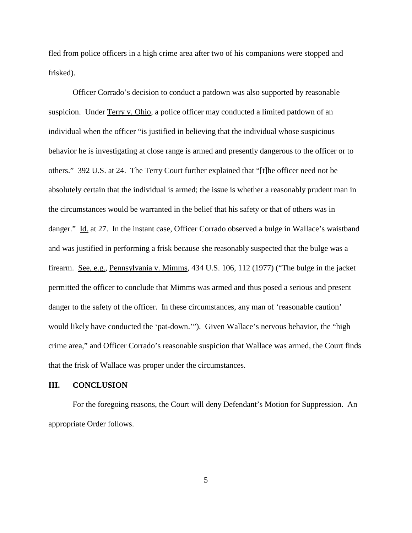fled from police officers in a high crime area after two of his companions were stopped and frisked).

Officer Corrado's decision to conduct a patdown was also supported by reasonable suspicion. Under Terry v. Ohio, a police officer may conducted a limited patdown of an individual when the officer "is justified in believing that the individual whose suspicious behavior he is investigating at close range is armed and presently dangerous to the officer or to others." 392 U.S. at 24. The Terry Court further explained that "[t]he officer need not be absolutely certain that the individual is armed; the issue is whether a reasonably prudent man in the circumstances would be warranted in the belief that his safety or that of others was in danger." Id. at 27. In the instant case, Officer Corrado observed a bulge in Wallace's waistband and was justified in performing a frisk because she reasonably suspected that the bulge was a firearm. See, e.g., Pennsylvania v. Mimms, 434 U.S. 106, 112 (1977) ("The bulge in the jacket permitted the officer to conclude that Mimms was armed and thus posed a serious and present danger to the safety of the officer. In these circumstances, any man of 'reasonable caution' would likely have conducted the 'pat-down.'"). Given Wallace's nervous behavior, the "high crime area," and Officer Corrado's reasonable suspicion that Wallace was armed, the Court finds that the frisk of Wallace was proper under the circumstances.

# **III. CONCLUSION**

For the foregoing reasons, the Court will deny Defendant's Motion for Suppression. An appropriate Order follows.

5